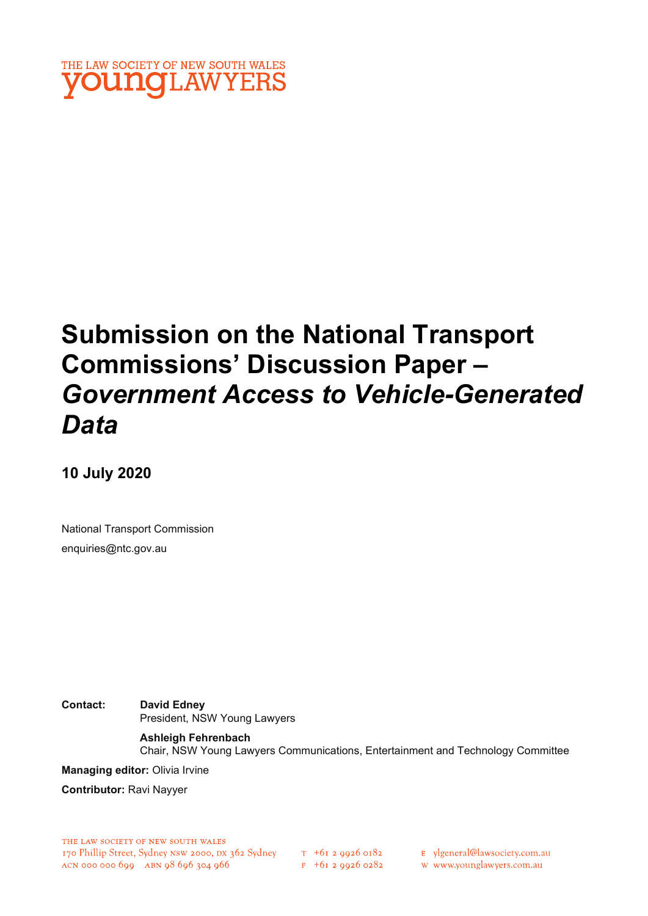

# Submission on the National Transport Commissions' Discussion Paper – Government Access to Vehicle-Generated Data

10 July 2020

National Transport Commission enquiries@ntc.gov.au

Contact: David Edney President, NSW Young Lawyers

> Ashleigh Fehrenbach Chair, NSW Young Lawyers Communications, Entertainment and Technology Committee

Managing editor: Olivia Irvine

Contributor: Ravi Nayyer

THE LAW SOCIETY OF NEW SOUTH WALES 170 Phillip Street, Sydney NSW 2000, DX 362 Sydney  $T$  +61 2 9926 0182<br>ACN 000 000 699 ABN 98 696 304 966 F +61 2 9926 0282

E ylgeneral@lawsociety.com.au

w www.younglawyers.com.au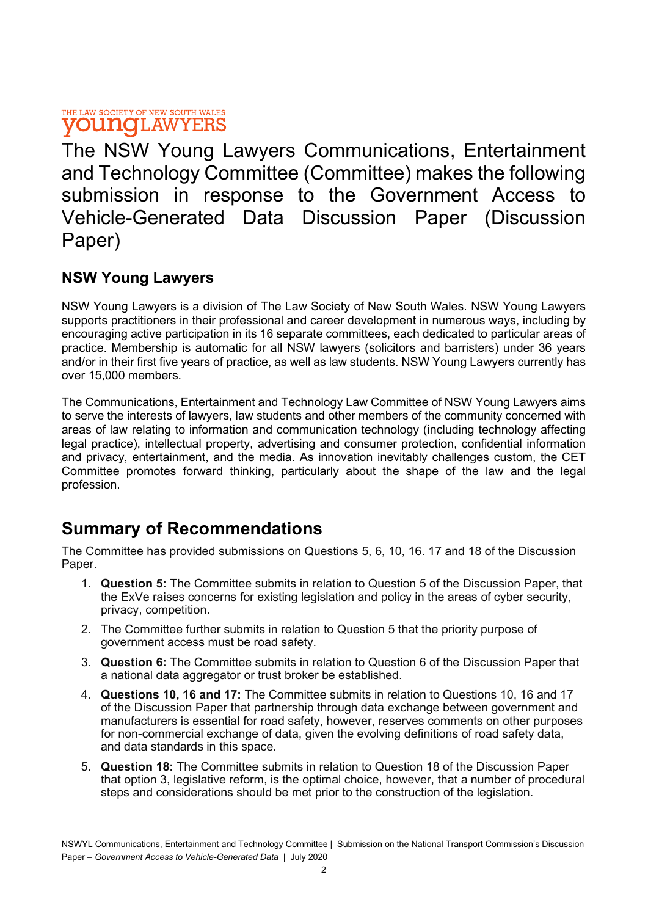#### THE LAW SOCIETY OF NEW SOUTH WALES **VOUNGLAWYERS**

The NSW Young Lawyers Communications, Entertainment and Technology Committee (Committee) makes the following submission in response to the Government Access to Vehicle-Generated Data Discussion Paper (Discussion Paper)

### NSW Young Lawyers

NSW Young Lawyers is a division of The Law Society of New South Wales. NSW Young Lawyers supports practitioners in their professional and career development in numerous ways, including by encouraging active participation in its 16 separate committees, each dedicated to particular areas of practice. Membership is automatic for all NSW lawyers (solicitors and barristers) under 36 years and/or in their first five years of practice, as well as law students. NSW Young Lawyers currently has over 15,000 members.

The Communications, Entertainment and Technology Law Committee of NSW Young Lawyers aims to serve the interests of lawyers, law students and other members of the community concerned with areas of law relating to information and communication technology (including technology affecting legal practice), intellectual property, advertising and consumer protection, confidential information and privacy, entertainment, and the media. As innovation inevitably challenges custom, the CET Committee promotes forward thinking, particularly about the shape of the law and the legal profession.

# Summary of Recommendations

The Committee has provided submissions on Questions 5, 6, 10, 16. 17 and 18 of the Discussion Paper.

- 1. Question 5: The Committee submits in relation to Question 5 of the Discussion Paper, that the ExVe raises concerns for existing legislation and policy in the areas of cyber security, privacy, competition.
- 2. The Committee further submits in relation to Question 5 that the priority purpose of government access must be road safety.
- 3. Question 6: The Committee submits in relation to Question 6 of the Discussion Paper that a national data aggregator or trust broker be established.
- 4. Questions 10, 16 and 17: The Committee submits in relation to Questions 10, 16 and 17 of the Discussion Paper that partnership through data exchange between government and manufacturers is essential for road safety, however, reserves comments on other purposes for non-commercial exchange of data, given the evolving definitions of road safety data, and data standards in this space.
- 5. Question 18: The Committee submits in relation to Question 18 of the Discussion Paper that option 3, legislative reform, is the optimal choice, however, that a number of procedural steps and considerations should be met prior to the construction of the legislation.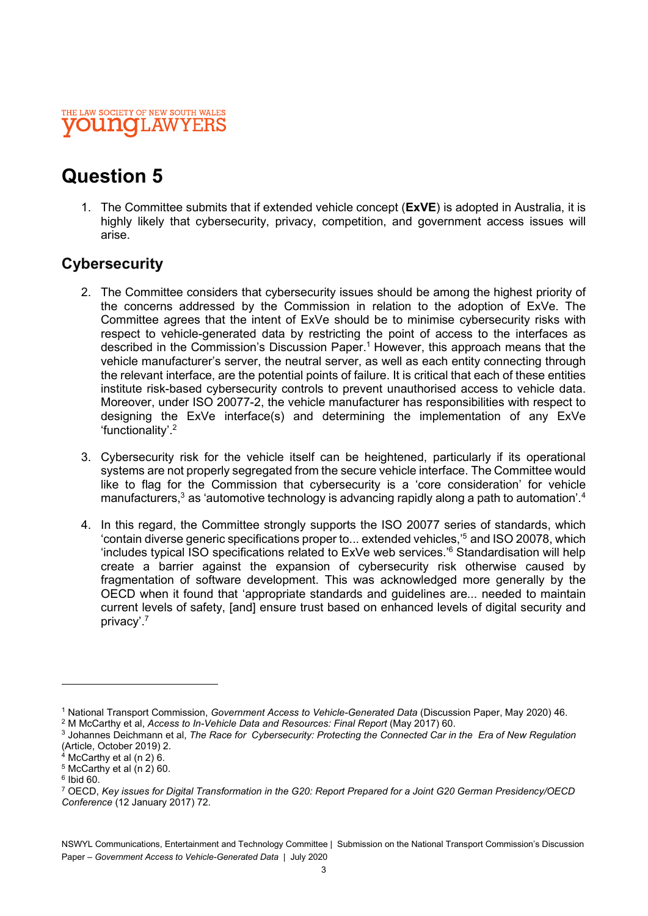### THE LAW SOCIETY OF NEW SOUTH WALES **UNOLAW**

# Question 5

1. The Committee submits that if extended vehicle concept (ExVE) is adopted in Australia, it is highly likely that cybersecurity, privacy, competition, and government access issues will arise.

### **Cybersecurity**

- 2. The Committee considers that cybersecurity issues should be among the highest priority of the concerns addressed by the Commission in relation to the adoption of ExVe. The Committee agrees that the intent of ExVe should be to minimise cybersecurity risks with respect to vehicle-generated data by restricting the point of access to the interfaces as described in the Commission's Discussion Paper.<sup>1</sup> However, this approach means that the vehicle manufacturer's server, the neutral server, as well as each entity connecting through the relevant interface, are the potential points of failure. It is critical that each of these entities institute risk-based cybersecurity controls to prevent unauthorised access to vehicle data. Moreover, under ISO 20077-2, the vehicle manufacturer has responsibilities with respect to designing the ExVe interface(s) and determining the implementation of any ExVe 'functionality'.2
- 3. Cybersecurity risk for the vehicle itself can be heightened, particularly if its operational systems are not properly segregated from the secure vehicle interface. The Committee would like to flag for the Commission that cybersecurity is a 'core consideration' for vehicle manufacturers, $^3$  as 'automotive technology is advancing rapidly along a path to automation'. $^4$
- 4. In this regard, the Committee strongly supports the ISO 20077 series of standards, which ʻcontain diverse generic specifications proper to... extended vehicles,'<sup>5</sup> and ISO 20078, which 'includes typical ISO specifications related to ExVe web services.'6 Standardisation will help create a barrier against the expansion of cybersecurity risk otherwise caused by fragmentation of software development. This was acknowledged more generally by the OECD when it found that 'appropriate standards and guidelines are... needed to maintain current levels of safety, [and] ensure trust based on enhanced levels of digital security and privacy'.7

<sup>&</sup>lt;sup>1</sup> National Transport Commission, Government Access to Vehicle-Generated Data (Discussion Paper, May 2020) 46.

<sup>&</sup>lt;sup>2</sup> M McCarthy et al, Access to In-Vehicle Data and Resources: Final Report (May 2017) 60.

<sup>&</sup>lt;sup>3</sup> Johannes Deichmann et al, The Race for Cybersecurity: Protecting the Connected Car in the Era of New Regulation (Article, October 2019) 2.

<sup>4</sup> McCarthy et al (n 2) 6.

<sup>5</sup> McCarthy et al (n 2) 60.

<sup>6</sup> Ibid 60.

<sup>7</sup> OECD, Key issues for Digital Transformation in the G20: Report Prepared for a Joint G20 German Presidency/OECD Conference (12 January 2017) 72.

NSWYL Communications, Entertainment and Technology Committee | Submission on the National Transport Commission's Discussion Paper – Government Access to Vehicle-Generated Data | July 2020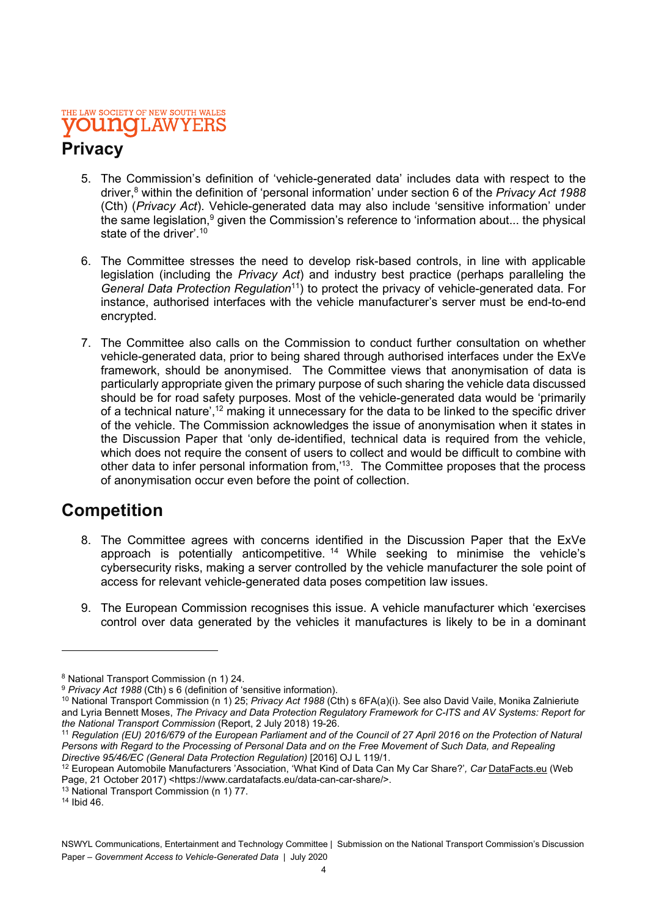#### THE LAW SOCIETY OF NEW SOUTH WALES **OUNCILAWYEI**

# **Privacy**

- 5. The Commission's definition of 'vehicle-generated data' includes data with respect to the driver,<sup>8</sup> within the definition of 'personal information' under section 6 of the *Privacy Act 1988* (Cth) (Privacy Act). Vehicle-generated data may also include 'sensitive information' under the same legislation,<sup>9</sup> given the Commission's reference to 'information about... the physical state of the driver'.<sup>10</sup>
- 6. The Committee stresses the need to develop risk-based controls, in line with applicable legislation (including the Privacy Act) and industry best practice (perhaps paralleling the General Data Protection Regulation<sup>11</sup>) to protect the privacy of vehicle-generated data. For instance, authorised interfaces with the vehicle manufacturer's server must be end-to-end encrypted.
- 7. The Committee also calls on the Commission to conduct further consultation on whether vehicle-generated data, prior to being shared through authorised interfaces under the ExVe framework, should be anonymised. The Committee views that anonymisation of data is particularly appropriate given the primary purpose of such sharing the vehicle data discussed should be for road safety purposes. Most of the vehicle-generated data would be 'primarily of a technical nature',12 making it unnecessary for the data to be linked to the specific driver of the vehicle. The Commission acknowledges the issue of anonymisation when it states in the Discussion Paper that 'only de-identified, technical data is required from the vehicle, which does not require the consent of users to collect and would be difficult to combine with other data to infer personal information from,'13. The Committee proposes that the process of anonymisation occur even before the point of collection.

### Competition

- 8. The Committee agrees with concerns identified in the Discussion Paper that the ExVe approach is potentially anticompetitive.  $14$  While seeking to minimise the vehicle's cybersecurity risks, making a server controlled by the vehicle manufacturer the sole point of access for relevant vehicle-generated data poses competition law issues.
- 9. The European Commission recognises this issue. A vehicle manufacturer which 'exercises control over data generated by the vehicles it manufactures is likely to be in a dominant

<sup>8</sup> National Transport Commission (n 1) 24.

 $9$  Privacy Act 1988 (Cth) s 6 (definition of 'sensitive information).

<sup>&</sup>lt;sup>10</sup> National Transport Commission (n 1) 25; Privacy Act 1988 (Cth) s 6FA(a)(i). See also David Vaile, Monika Zalnieriute and Lyria Bennett Moses, The Privacy and Data Protection Regulatory Framework for C-ITS and AV Systems: Report for the National Transport Commission (Report, 2 July 2018) 19-26.

<sup>11</sup> Regulation (EU) 2016/679 of the European Parliament and of the Council of 27 April 2016 on the Protection of Natural Persons with Regard to the Processing of Personal Data and on the Free Movement of Such Data, and Repealing Directive 95/46/EC (General Data Protection Regulation) [2016] OJ L 119/1.

<sup>&</sup>lt;sup>12</sup> European Automobile Manufacturers 'Association, 'What Kind of Data Can My Car Share?', Car DataFacts.eu (Web Page, 21 October 2017) <https://www.cardatafacts.eu/data-can-car-share/>.

<sup>13</sup> National Transport Commission (n 1) 77.

<sup>14</sup> Ibid 46.

NSWYL Communications, Entertainment and Technology Committee | Submission on the National Transport Commission's Discussion Paper – Government Access to Vehicle-Generated Data | July 2020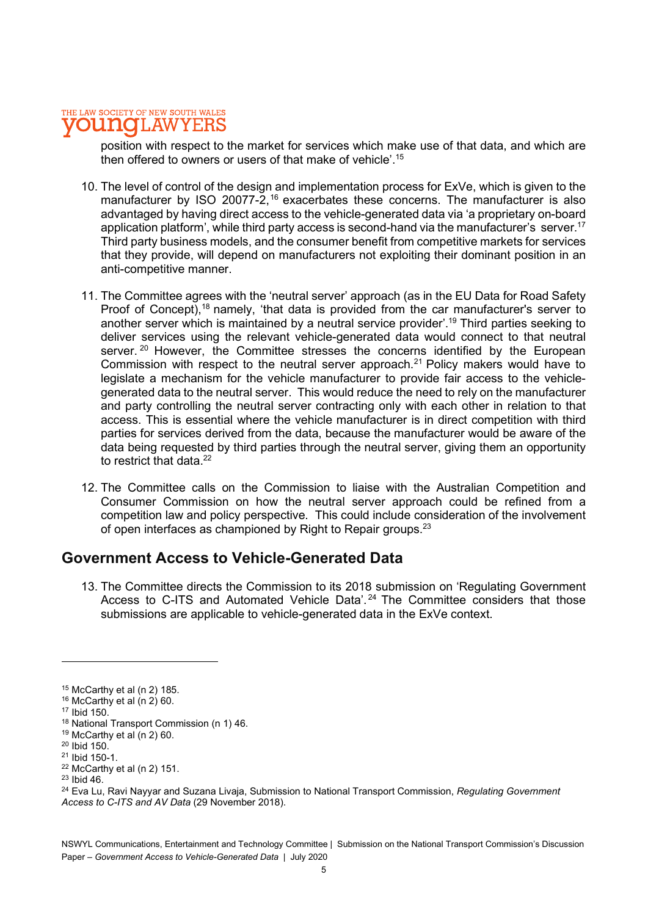#### THE LAW SOCIETY OF NEW SOUTH WALES **IOT.AW**

position with respect to the market for services which make use of that data, and which are then offered to owners or users of that make of vehicle'.<sup>15</sup>

- 10. The level of control of the design and implementation process for ExVe, which is given to the manufacturer by ISO 20077-2,<sup>16</sup> exacerbates these concerns. The manufacturer is also advantaged by having direct access to the vehicle-generated data via 'a proprietary on-board application platform', while third party access is second-hand via the manufacturer's server.<sup>17</sup> Third party business models, and the consumer benefit from competitive markets for services that they provide, will depend on manufacturers not exploiting their dominant position in an anti-competitive manner.
- 11. The Committee agrees with the 'neutral server' approach (as in the EU Data for Road Safety Proof of Concept),<sup>18</sup> namely, 'that data is provided from the car manufacturer's server to another server which is maintained by a neutral service provider'.19 Third parties seeking to deliver services using the relevant vehicle-generated data would connect to that neutral server.<sup>20</sup> However, the Committee stresses the concerns identified by the European Commission with respect to the neutral server approach.<sup>21</sup> Policy makers would have to legislate a mechanism for the vehicle manufacturer to provide fair access to the vehiclegenerated data to the neutral server. This would reduce the need to rely on the manufacturer and party controlling the neutral server contracting only with each other in relation to that access. This is essential where the vehicle manufacturer is in direct competition with third parties for services derived from the data, because the manufacturer would be aware of the data being requested by third parties through the neutral server, giving them an opportunity to restrict that data<sup>22</sup>
- 12. The Committee calls on the Commission to liaise with the Australian Competition and Consumer Commission on how the neutral server approach could be refined from a competition law and policy perspective. This could include consideration of the involvement of open interfaces as championed by Right to Repair groups.<sup>23</sup>

### Government Access to Vehicle-Generated Data

13. The Committee directs the Commission to its 2018 submission on 'Regulating Government Access to C-ITS and Automated Vehicle Data'.<sup>24</sup> The Committee considers that those submissions are applicable to vehicle-generated data in the ExVe context.

 $15$  McCarthy et al (n 2) 185.

 $16$  McCarthy et al  $(n 2)$  60.

<sup>&</sup>lt;sup>17</sup> Ibid 150.

<sup>18</sup> National Transport Commission (n 1) 46.

<sup>19</sup> McCarthy et al (n 2) 60.

 $20$  Ibid 150 $\overline{)}$ 

<sup>21</sup> Ibid 150-1.

 $22$  McCarthy et al (n 2) 151.

<sup>23</sup> Ibid 46.

<sup>&</sup>lt;sup>24</sup> Eva Lu, Ravi Nayyar and Suzana Livaia, Submission to National Transport Commission, Regulating Government Access to C-ITS and AV Data (29 November 2018).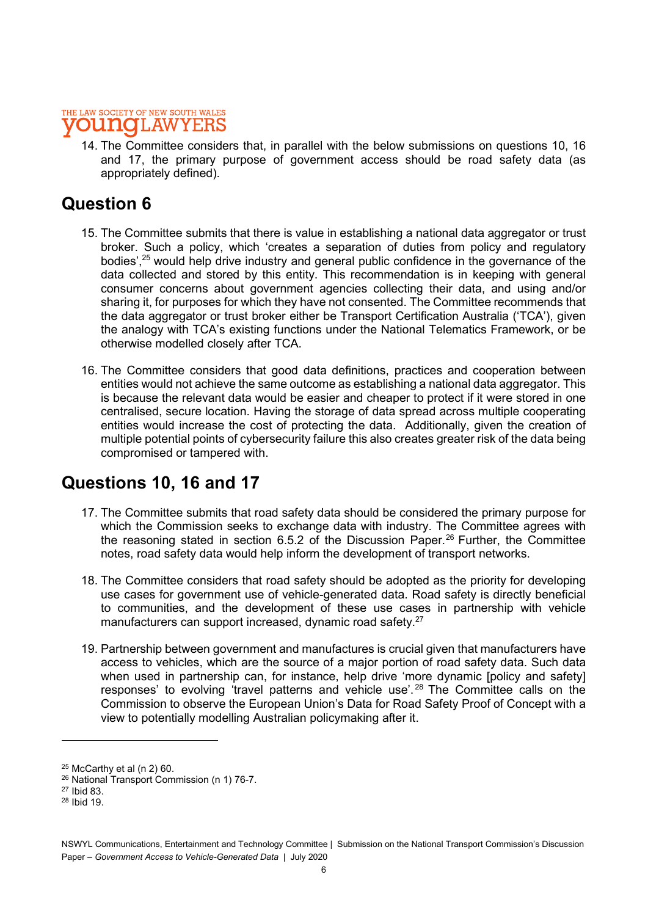#### THE LAW SOCIETY OF NEW SOUTH WALES **NOL.AW**

14. The Committee considers that, in parallel with the below submissions on questions 10, 16 and 17, the primary purpose of government access should be road safety data (as appropriately defined).

## Question 6

- 15. The Committee submits that there is value in establishing a national data aggregator or trust broker. Such a policy, which 'creates a separation of duties from policy and regulatory bodies',<sup>25</sup> would help drive industry and general public confidence in the governance of the data collected and stored by this entity. This recommendation is in keeping with general consumer concerns about government agencies collecting their data, and using and/or sharing it, for purposes for which they have not consented. The Committee recommends that the data aggregator or trust broker either be Transport Certification Australia ('TCA'), given the analogy with TCA's existing functions under the National Telematics Framework, or be otherwise modelled closely after TCA.
- 16. The Committee considers that good data definitions, practices and cooperation between entities would not achieve the same outcome as establishing a national data aggregator. This is because the relevant data would be easier and cheaper to protect if it were stored in one centralised, secure location. Having the storage of data spread across multiple cooperating entities would increase the cost of protecting the data. Additionally, given the creation of multiple potential points of cybersecurity failure this also creates greater risk of the data being compromised or tampered with.

# Questions 10, 16 and 17

- 17. The Committee submits that road safety data should be considered the primary purpose for which the Commission seeks to exchange data with industry. The Committee agrees with the reasoning stated in section 6.5.2 of the Discussion Paper.<sup>26</sup> Further, the Committee notes, road safety data would help inform the development of transport networks.
- 18. The Committee considers that road safety should be adopted as the priority for developing use cases for government use of vehicle-generated data. Road safety is directly beneficial to communities, and the development of these use cases in partnership with vehicle manufacturers can support increased, dynamic road safety.<sup>27</sup>
- 19. Partnership between government and manufactures is crucial given that manufacturers have access to vehicles, which are the source of a major portion of road safety data. Such data when used in partnership can, for instance, help drive 'more dynamic [policy and safety] responses' to evolving 'travel patterns and vehicle use'. 28 The Committee calls on the Commission to observe the European Union's Data for Road Safety Proof of Concept with a view to potentially modelling Australian policymaking after it.

 $25$  McCarthy et al (n 2) 60.

<sup>26</sup> National Transport Commission (n 1) 76-7.

<sup>27</sup> Ibid 83.

<sup>28</sup> Ibid 19.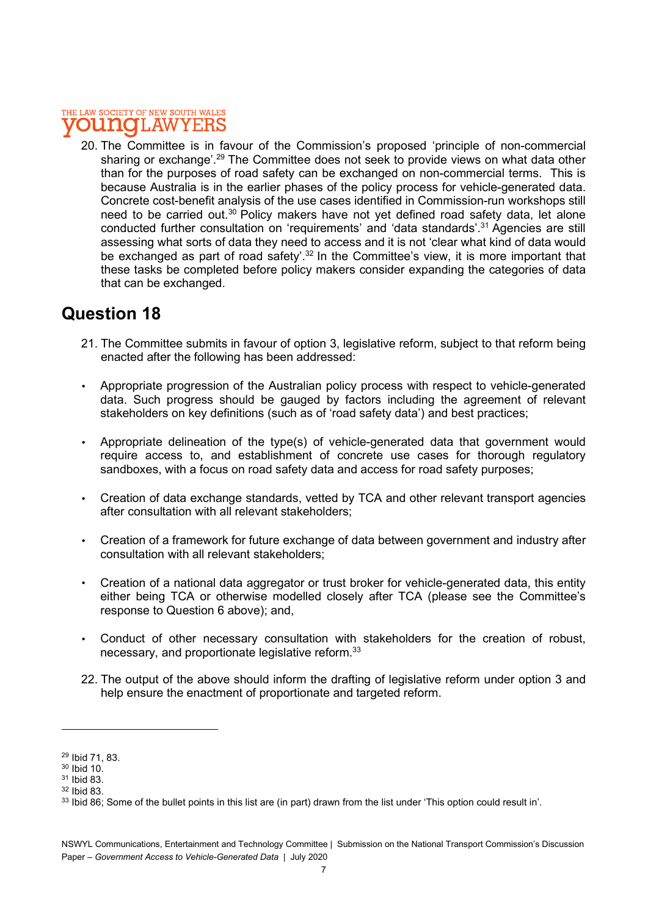#### THE LAW SOCIETY OF NEW SOUTH WALES **OUINOL AW**

20. The Committee is in favour of the Commission's proposed 'principle of non-commercial sharing or exchange'.<sup>29</sup> The Committee does not seek to provide views on what data other than for the purposes of road safety can be exchanged on non-commercial terms. This is because Australia is in the earlier phases of the policy process for vehicle-generated data. Concrete cost-benefit analysis of the use cases identified in Commission-run workshops still need to be carried out.<sup>30</sup> Policy makers have not yet defined road safety data, let alone conducted further consultation on 'requirements' and 'data standards'.31 Agencies are still assessing what sorts of data they need to access and it is not 'clear what kind of data would be exchanged as part of road safety'.<sup>32</sup> In the Committee's view, it is more important that these tasks be completed before policy makers consider expanding the categories of data that can be exchanged.

### Question 18

- 21. The Committee submits in favour of option 3, legislative reform, subject to that reform being enacted after the following has been addressed:
- Appropriate progression of the Australian policy process with respect to vehicle-generated data. Such progress should be gauged by factors including the agreement of relevant stakeholders on key definitions (such as of 'road safety data') and best practices;
- Appropriate delineation of the type(s) of vehicle-generated data that government would require access to, and establishment of concrete use cases for thorough regulatory sandboxes, with a focus on road safety data and access for road safety purposes;
- Creation of data exchange standards, vetted by TCA and other relevant transport agencies after consultation with all relevant stakeholders;
- Creation of a framework for future exchange of data between government and industry after consultation with all relevant stakeholders;
- Creation of a national data aggregator or trust broker for vehicle-generated data, this entity either being TCA or otherwise modelled closely after TCA (please see the Committee's response to Question 6 above); and,
- Conduct of other necessary consultation with stakeholders for the creation of robust, necessary, and proportionate legislative reform.33
- 22. The output of the above should inform the drafting of legislative reform under option 3 and help ensure the enactment of proportionate and targeted reform.

<sup>29</sup> Ibid 71, 83.

<sup>30</sup> Ibid 10.

<sup>31</sup> Ibid 83.

<sup>32</sup> Ibid 83.

<sup>33</sup> Ibid 86; Some of the bullet points in this list are (in part) drawn from the list under 'This option could result in'.